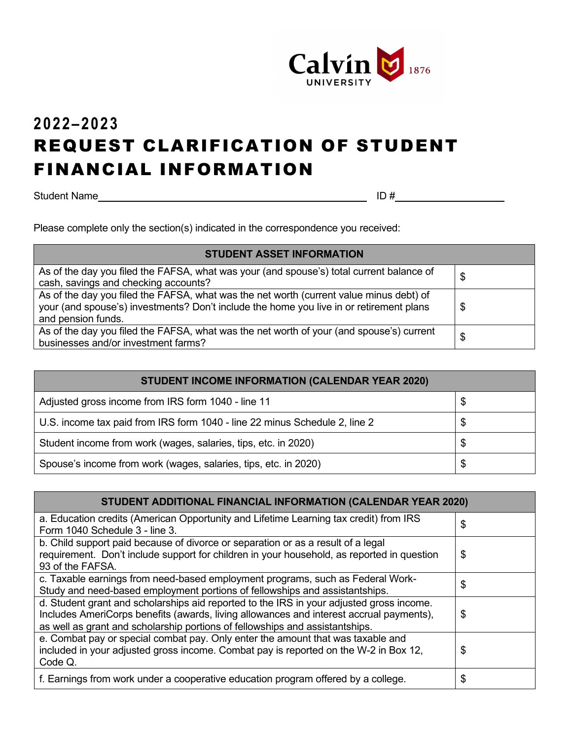

## **2022–2023** REQUEST CLARIFICATION OF STUDENT FINANCIAL INFORMATION

Student Name ID #

Please complete only the section(s) indicated in the correspondence you received:

| <b>STUDENT ASSET INFORMATION</b>                                                                                                                                                                         |    |
|----------------------------------------------------------------------------------------------------------------------------------------------------------------------------------------------------------|----|
| As of the day you filed the FAFSA, what was your (and spouse's) total current balance of<br>cash, savings and checking accounts?                                                                         | \$ |
| As of the day you filed the FAFSA, what was the net worth (current value minus debt) of<br>your (and spouse's) investments? Don't include the home you live in or retirement plans<br>and pension funds. | \$ |
| As of the day you filed the FAFSA, what was the net worth of your (and spouse's) current<br>businesses and/or investment farms?                                                                          | \$ |

| <b>STUDENT INCOME INFORMATION (CALENDAR YEAR 2020)</b>                     |    |
|----------------------------------------------------------------------------|----|
| Adjusted gross income from IRS form 1040 - line 11                         | \$ |
| U.S. income tax paid from IRS form 1040 - line 22 minus Schedule 2, line 2 | \$ |
| Student income from work (wages, salaries, tips, etc. in 2020)             | \$ |
| Spouse's income from work (wages, salaries, tips, etc. in 2020)            | \$ |

| <b>STUDENT ADDITIONAL FINANCIAL INFORMATION (CALENDAR YEAR 2020)</b>                                                                                                                                                                                                |    |
|---------------------------------------------------------------------------------------------------------------------------------------------------------------------------------------------------------------------------------------------------------------------|----|
| a. Education credits (American Opportunity and Lifetime Learning tax credit) from IRS<br>Form 1040 Schedule 3 - line 3.                                                                                                                                             | \$ |
| b. Child support paid because of divorce or separation or as a result of a legal<br>requirement. Don't include support for children in your household, as reported in question<br>93 of the FAFSA.                                                                  | \$ |
| c. Taxable earnings from need-based employment programs, such as Federal Work-<br>Study and need-based employment portions of fellowships and assistantships.                                                                                                       | \$ |
| d. Student grant and scholarships aid reported to the IRS in your adjusted gross income.<br>Includes AmeriCorps benefits (awards, living allowances and interest accrual payments),<br>as well as grant and scholarship portions of fellowships and assistantships. | \$ |
| e. Combat pay or special combat pay. Only enter the amount that was taxable and<br>included in your adjusted gross income. Combat pay is reported on the W-2 in Box 12,<br>Code Q.                                                                                  | \$ |
| f. Earnings from work under a cooperative education program offered by a college.                                                                                                                                                                                   | \$ |